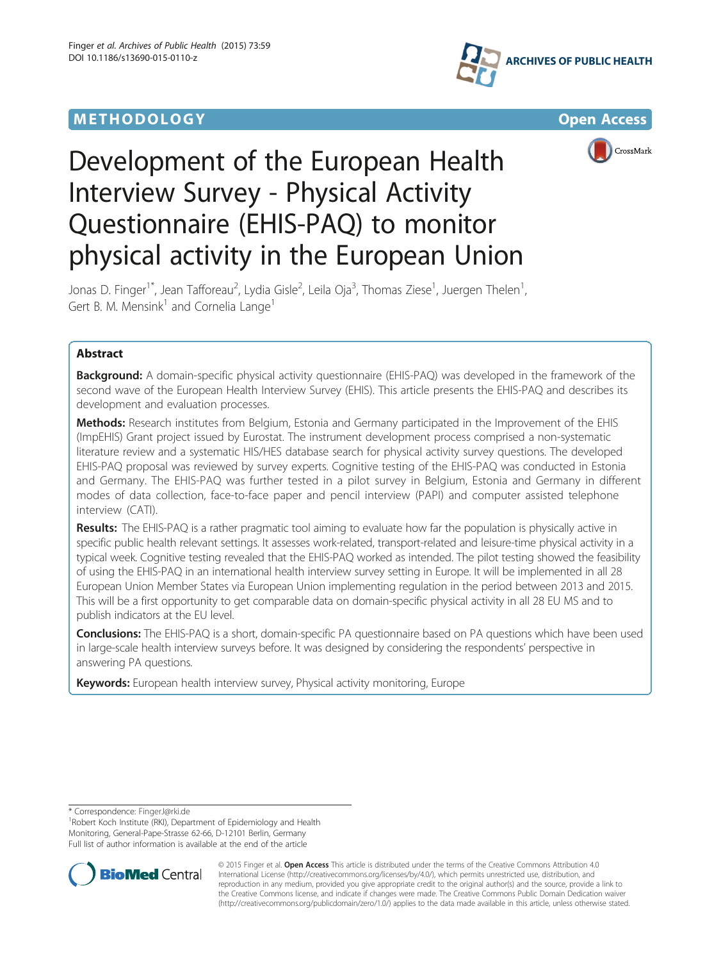## **METHODOLOGY CONSUMING ACCESS**







# Development of the European Health Interview Survey - Physical Activity Questionnaire (EHIS-PAQ) to monitor physical activity in the European Union

Jonas D. Finger<sup>1\*</sup>, Jean Tafforeau<sup>2</sup>, Lydia Gisle<sup>2</sup>, Leila Oja<sup>3</sup>, Thomas Ziese<sup>1</sup>, Juergen Thelen<sup>1</sup> , Gert B. M. Mensink<sup>1</sup> and Cornelia Lange<sup>1</sup>

## Abstract

Background: A domain-specific physical activity questionnaire (EHIS-PAQ) was developed in the framework of the second wave of the European Health Interview Survey (EHIS). This article presents the EHIS-PAQ and describes its development and evaluation processes.

Methods: Research institutes from Belgium, Estonia and Germany participated in the Improvement of the EHIS (ImpEHIS) Grant project issued by Eurostat. The instrument development process comprised a non-systematic literature review and a systematic HIS/HES database search for physical activity survey questions. The developed EHIS-PAQ proposal was reviewed by survey experts. Cognitive testing of the EHIS-PAQ was conducted in Estonia and Germany. The EHIS-PAQ was further tested in a pilot survey in Belgium, Estonia and Germany in different modes of data collection, face-to-face paper and pencil interview (PAPI) and computer assisted telephone interview (CATI).

Results: The EHIS-PAQ is a rather pragmatic tool aiming to evaluate how far the population is physically active in specific public health relevant settings. It assesses work-related, transport-related and leisure-time physical activity in a typical week. Cognitive testing revealed that the EHIS-PAQ worked as intended. The pilot testing showed the feasibility of using the EHIS-PAQ in an international health interview survey setting in Europe. It will be implemented in all 28 European Union Member States via European Union implementing regulation in the period between 2013 and 2015. This will be a first opportunity to get comparable data on domain-specific physical activity in all 28 EU MS and to publish indicators at the EU level.

Conclusions: The EHIS-PAQ is a short, domain-specific PA questionnaire based on PA questions which have been used in large-scale health interview surveys before. It was designed by considering the respondents' perspective in answering PA questions.

Keywords: European health interview survey, Physical activity monitoring, Europe

\* Correspondence: [FingerJ@rki.de](mailto:FingerJ@rki.de) <sup>1</sup>

<sup>1</sup> Robert Koch Institute (RKI), Department of Epidemiology and Health Monitoring, General-Pape-Strasse 62-66, D-12101 Berlin, Germany Full list of author information is available at the end of the article



© 2015 Finger et al. Open Access This article is distributed under the terms of the Creative Commons Attribution 4.0 International License [\(http://creativecommons.org/licenses/by/4.0/](http://creativecommons.org/licenses/by/4.0/)), which permits unrestricted use, distribution, and reproduction in any medium, provided you give appropriate credit to the original author(s) and the source, provide a link to the Creative Commons license, and indicate if changes were made. The Creative Commons Public Domain Dedication waiver [\(http://creativecommons.org/publicdomain/zero/1.0/](http://creativecommons.org/publicdomain/zero/1.0/)) applies to the data made available in this article, unless otherwise stated.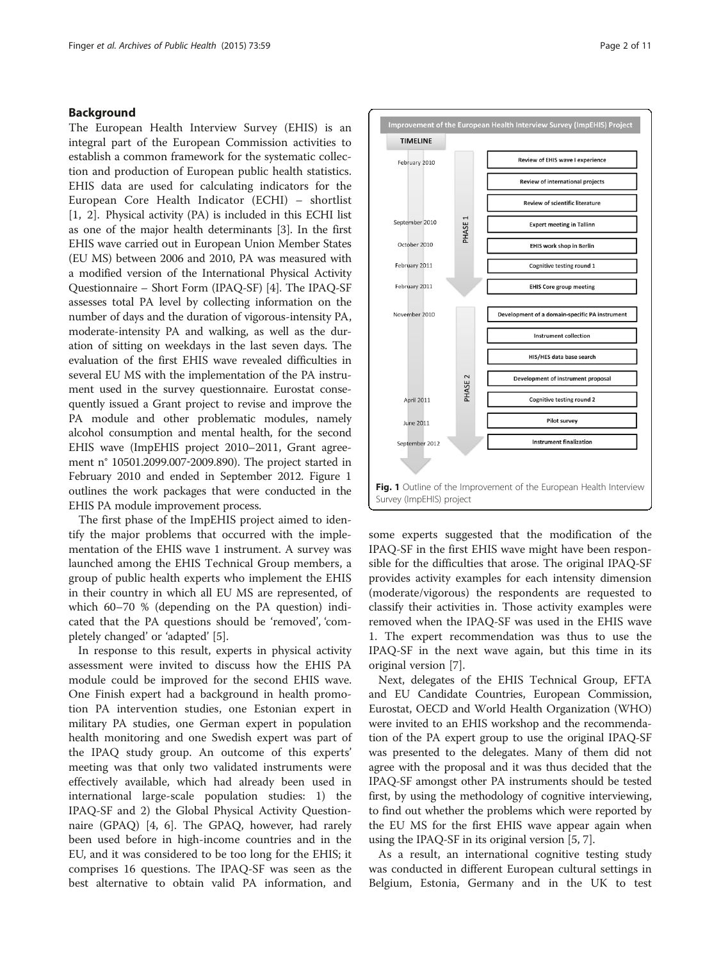## <span id="page-1-0"></span>Background

The European Health Interview Survey (EHIS) is an integral part of the European Commission activities to establish a common framework for the systematic collection and production of European public health statistics. EHIS data are used for calculating indicators for the European Core Health Indicator (ECHI) – shortlist [[1](#page-9-0), [2\]](#page-9-0). Physical activity (PA) is included in this ECHI list as one of the major health determinants [[3\]](#page-9-0). In the first EHIS wave carried out in European Union Member States (EU MS) between 2006 and 2010, PA was measured with a modified version of the International Physical Activity Questionnaire – Short Form (IPAQ-SF) [[4\]](#page-9-0). The IPAQ-SF assesses total PA level by collecting information on the number of days and the duration of vigorous-intensity PA, moderate-intensity PA and walking, as well as the duration of sitting on weekdays in the last seven days. The evaluation of the first EHIS wave revealed difficulties in several EU MS with the implementation of the PA instrument used in the survey questionnaire. Eurostat consequently issued a Grant project to revise and improve the PA module and other problematic modules, namely alcohol consumption and mental health, for the second EHIS wave (ImpEHIS project 2010–2011, Grant agreement n° 10501.2099.007‐2009.890). The project started in February 2010 and ended in September 2012. Figure 1 outlines the work packages that were conducted in the EHIS PA module improvement process.

The first phase of the ImpEHIS project aimed to identify the major problems that occurred with the implementation of the EHIS wave 1 instrument. A survey was launched among the EHIS Technical Group members, a group of public health experts who implement the EHIS in their country in which all EU MS are represented, of which 60–70 % (depending on the PA question) indicated that the PA questions should be 'removed', 'completely changed' or 'adapted' [[5\]](#page-9-0).

In response to this result, experts in physical activity assessment were invited to discuss how the EHIS PA module could be improved for the second EHIS wave. One Finish expert had a background in health promotion PA intervention studies, one Estonian expert in military PA studies, one German expert in population health monitoring and one Swedish expert was part of the IPAQ study group. An outcome of this experts' meeting was that only two validated instruments were effectively available, which had already been used in international large-scale population studies: 1) the IPAQ-SF and 2) the Global Physical Activity Questionnaire (GPAQ) [[4, 6\]](#page-9-0). The GPAQ, however, had rarely been used before in high-income countries and in the EU, and it was considered to be too long for the EHIS; it comprises 16 questions. The IPAQ-SF was seen as the best alternative to obtain valid PA information, and



some experts suggested that the modification of the IPAQ-SF in the first EHIS wave might have been responsible for the difficulties that arose. The original IPAQ-SF provides activity examples for each intensity dimension (moderate/vigorous) the respondents are requested to classify their activities in. Those activity examples were removed when the IPAQ-SF was used in the EHIS wave 1. The expert recommendation was thus to use the IPAQ-SF in the next wave again, but this time in its original version [\[7](#page-9-0)].

Next, delegates of the EHIS Technical Group, EFTA and EU Candidate Countries, European Commission, Eurostat, OECD and World Health Organization (WHO) were invited to an EHIS workshop and the recommendation of the PA expert group to use the original IPAQ-SF was presented to the delegates. Many of them did not agree with the proposal and it was thus decided that the IPAQ-SF amongst other PA instruments should be tested first, by using the methodology of cognitive interviewing, to find out whether the problems which were reported by the EU MS for the first EHIS wave appear again when using the IPAQ-SF in its original version [\[5](#page-9-0), [7](#page-9-0)].

As a result, an international cognitive testing study was conducted in different European cultural settings in Belgium, Estonia, Germany and in the UK to test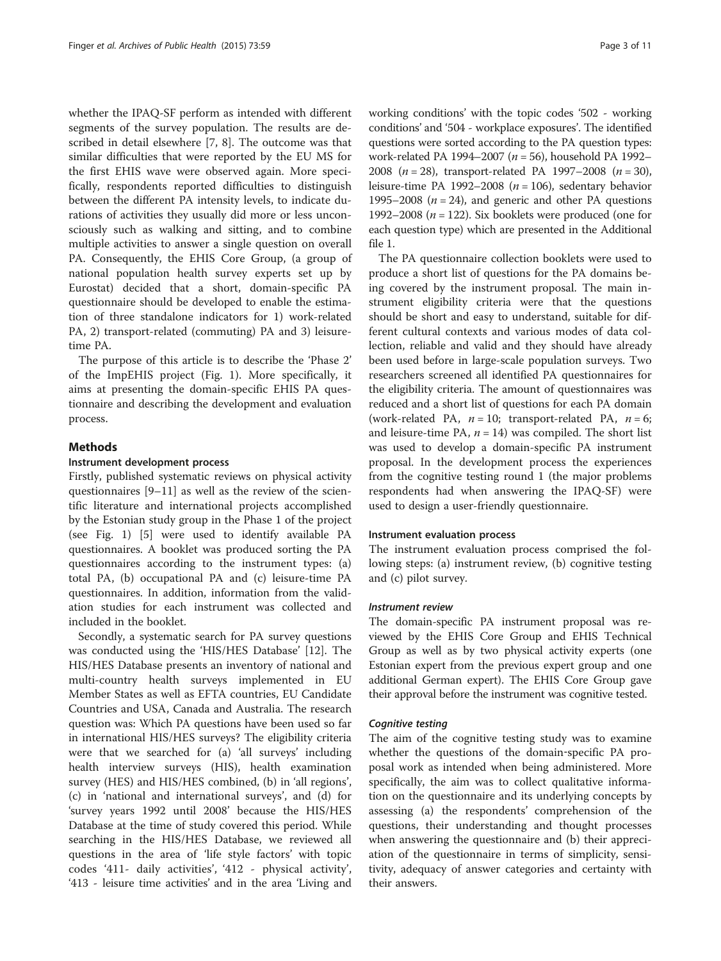whether the IPAQ-SF perform as intended with different segments of the survey population. The results are described in detail elsewhere [[7, 8](#page-9-0)]. The outcome was that similar difficulties that were reported by the EU MS for the first EHIS wave were observed again. More specifically, respondents reported difficulties to distinguish between the different PA intensity levels, to indicate durations of activities they usually did more or less unconsciously such as walking and sitting, and to combine multiple activities to answer a single question on overall PA. Consequently, the EHIS Core Group, (a group of national population health survey experts set up by Eurostat) decided that a short, domain-specific PA questionnaire should be developed to enable the estimation of three standalone indicators for 1) work-related PA, 2) transport-related (commuting) PA and 3) leisuretime PA.

The purpose of this article is to describe the 'Phase 2' of the ImpEHIS project (Fig. [1](#page-1-0)). More specifically, it aims at presenting the domain-specific EHIS PA questionnaire and describing the development and evaluation process.

## Methods

## Instrument development process

Firstly, published systematic reviews on physical activity questionnaires [\[9](#page-9-0)–[11](#page-9-0)] as well as the review of the scientific literature and international projects accomplished by the Estonian study group in the Phase 1 of the project (see Fig. [1](#page-1-0)) [\[5](#page-9-0)] were used to identify available PA questionnaires. A booklet was produced sorting the PA questionnaires according to the instrument types: (a) total PA, (b) occupational PA and (c) leisure-time PA questionnaires. In addition, information from the validation studies for each instrument was collected and included in the booklet.

Secondly, a systematic search for PA survey questions was conducted using the 'HIS/HES Database' [\[12\]](#page-9-0). The HIS/HES Database presents an inventory of national and multi-country health surveys implemented in EU Member States as well as EFTA countries, EU Candidate Countries and USA, Canada and Australia. The research question was: Which PA questions have been used so far in international HIS/HES surveys? The eligibility criteria were that we searched for (a) 'all surveys' including health interview surveys (HIS), health examination survey (HES) and HIS/HES combined, (b) in 'all regions', (c) in 'national and international surveys', and (d) for 'survey years 1992 until 2008' because the HIS/HES Database at the time of study covered this period. While searching in the HIS/HES Database, we reviewed all questions in the area of 'life style factors' with topic codes '411- daily activities', '412 - physical activity', '413 - leisure time activities' and in the area 'Living and

working conditions' with the topic codes '502 - working conditions' and '504 - workplace exposures'. The identified questions were sorted according to the PA question types: work-related PA 1994–2007 ( $n = 56$ ), household PA 1992– 2008 ( $n = 28$ ), transport-related PA 1997–2008 ( $n = 30$ ), leisure-time PA 1992–2008 ( $n = 106$ ), sedentary behavior 1995–2008 ( $n = 24$ ), and generic and other PA questions 1992–2008 ( $n = 122$ ). Six booklets were produced (one for each question type) which are presented in the Additional file [1](#page-9-0).

The PA questionnaire collection booklets were used to produce a short list of questions for the PA domains being covered by the instrument proposal. The main instrument eligibility criteria were that the questions should be short and easy to understand, suitable for different cultural contexts and various modes of data collection, reliable and valid and they should have already been used before in large-scale population surveys. Two researchers screened all identified PA questionnaires for the eligibility criteria. The amount of questionnaires was reduced and a short list of questions for each PA domain (work-related PA,  $n = 10$ ; transport-related PA,  $n = 6$ ; and leisure-time PA,  $n = 14$ ) was compiled. The short list was used to develop a domain-specific PA instrument proposal. In the development process the experiences from the cognitive testing round 1 (the major problems respondents had when answering the IPAQ-SF) were used to design a user-friendly questionnaire.

#### Instrument evaluation process

The instrument evaluation process comprised the following steps: (a) instrument review, (b) cognitive testing and (c) pilot survey.

#### Instrument review

The domain-specific PA instrument proposal was reviewed by the EHIS Core Group and EHIS Technical Group as well as by two physical activity experts (one Estonian expert from the previous expert group and one additional German expert). The EHIS Core Group gave their approval before the instrument was cognitive tested.

## Cognitive testing

The aim of the cognitive testing study was to examine whether the questions of the domain‐specific PA proposal work as intended when being administered. More specifically, the aim was to collect qualitative information on the questionnaire and its underlying concepts by assessing (a) the respondents' comprehension of the questions, their understanding and thought processes when answering the questionnaire and (b) their appreciation of the questionnaire in terms of simplicity, sensitivity, adequacy of answer categories and certainty with their answers.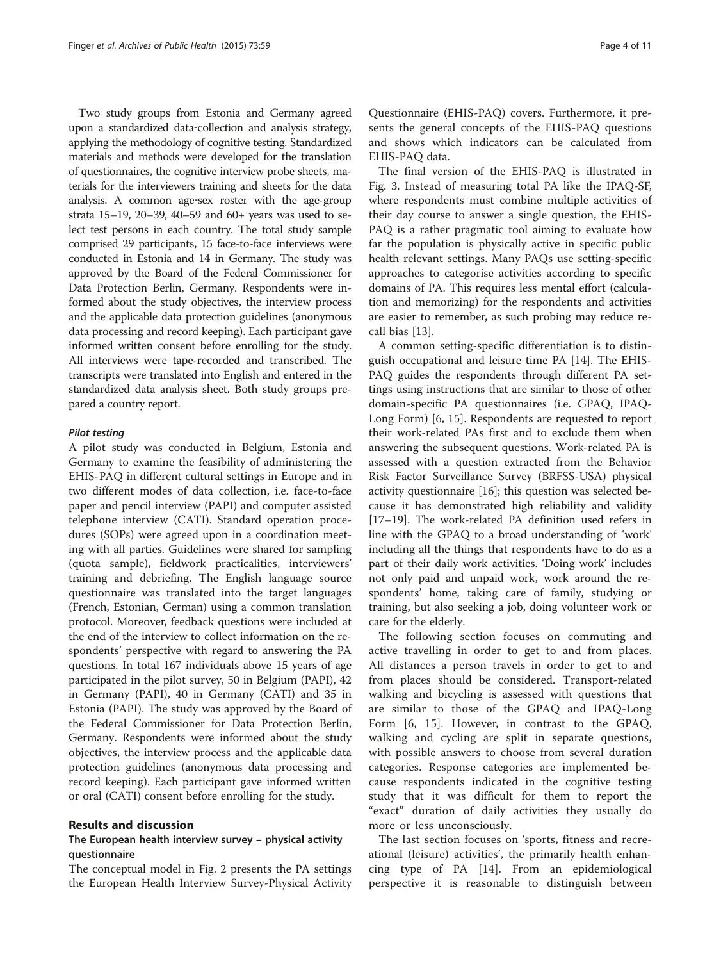Two study groups from Estonia and Germany agreed upon a standardized data‐collection and analysis strategy, applying the methodology of cognitive testing. Standardized materials and methods were developed for the translation of questionnaires, the cognitive interview probe sheets, materials for the interviewers training and sheets for the data analysis. A common age‐sex roster with the age-group strata 15–19, 20–39, 40–59 and 60+ years was used to select test persons in each country. The total study sample comprised 29 participants, 15 face-to-face interviews were conducted in Estonia and 14 in Germany. The study was approved by the Board of the Federal Commissioner for Data Protection Berlin, Germany. Respondents were informed about the study objectives, the interview process and the applicable data protection guidelines (anonymous data processing and record keeping). Each participant gave informed written consent before enrolling for the study. All interviews were tape-recorded and transcribed. The transcripts were translated into English and entered in the standardized data analysis sheet. Both study groups prepared a country report.

#### Pilot testing

A pilot study was conducted in Belgium, Estonia and Germany to examine the feasibility of administering the EHIS-PAQ in different cultural settings in Europe and in two different modes of data collection, i.e. face-to-face paper and pencil interview (PAPI) and computer assisted telephone interview (CATI). Standard operation procedures (SOPs) were agreed upon in a coordination meeting with all parties. Guidelines were shared for sampling (quota sample), fieldwork practicalities, interviewers' training and debriefing. The English language source questionnaire was translated into the target languages (French, Estonian, German) using a common translation protocol. Moreover, feedback questions were included at the end of the interview to collect information on the respondents' perspective with regard to answering the PA questions. In total 167 individuals above 15 years of age participated in the pilot survey, 50 in Belgium (PAPI), 42 in Germany (PAPI), 40 in Germany (CATI) and 35 in Estonia (PAPI). The study was approved by the Board of the Federal Commissioner for Data Protection Berlin, Germany. Respondents were informed about the study objectives, the interview process and the applicable data protection guidelines (anonymous data processing and record keeping). Each participant gave informed written or oral (CATI) consent before enrolling for the study.

## Results and discussion

## The European health interview survey – physical activity questionnaire

The conceptual model in Fig. [2](#page-4-0) presents the PA settings the European Health Interview Survey-Physical Activity Questionnaire (EHIS-PAQ) covers. Furthermore, it presents the general concepts of the EHIS-PAQ questions and shows which indicators can be calculated from EHIS-PAQ data.

The final version of the EHIS-PAQ is illustrated in Fig. [3](#page-5-0). Instead of measuring total PA like the IPAQ-SF, where respondents must combine multiple activities of their day course to answer a single question, the EHIS-PAQ is a rather pragmatic tool aiming to evaluate how far the population is physically active in specific public health relevant settings. Many PAQs use setting-specific approaches to categorise activities according to specific domains of PA. This requires less mental effort (calculation and memorizing) for the respondents and activities are easier to remember, as such probing may reduce recall bias [[13](#page-9-0)].

A common setting-specific differentiation is to distinguish occupational and leisure time PA [[14\]](#page-9-0). The EHIS-PAQ guides the respondents through different PA settings using instructions that are similar to those of other domain-specific PA questionnaires (i.e. GPAQ, IPAQ-Long Form) [\[6](#page-9-0), [15](#page-9-0)]. Respondents are requested to report their work-related PAs first and to exclude them when answering the subsequent questions. Work-related PA is assessed with a question extracted from the Behavior Risk Factor Surveillance Survey (BRFSS-USA) physical activity questionnaire [\[16](#page-9-0)]; this question was selected because it has demonstrated high reliability and validity [[17](#page-9-0)–[19](#page-9-0)]. The work-related PA definition used refers in line with the GPAQ to a broad understanding of 'work' including all the things that respondents have to do as a part of their daily work activities. 'Doing work' includes not only paid and unpaid work, work around the respondents' home, taking care of family, studying or training, but also seeking a job, doing volunteer work or care for the elderly.

The following section focuses on commuting and active travelling in order to get to and from places. All distances a person travels in order to get to and from places should be considered. Transport-related walking and bicycling is assessed with questions that are similar to those of the GPAQ and IPAQ-Long Form [\[6](#page-9-0), [15](#page-9-0)]. However, in contrast to the GPAQ, walking and cycling are split in separate questions, with possible answers to choose from several duration categories. Response categories are implemented because respondents indicated in the cognitive testing study that it was difficult for them to report the "exact" duration of daily activities they usually do more or less unconsciously.

The last section focuses on 'sports, fitness and recreational (leisure) activities', the primarily health enhancing type of PA [[14\]](#page-9-0). From an epidemiological perspective it is reasonable to distinguish between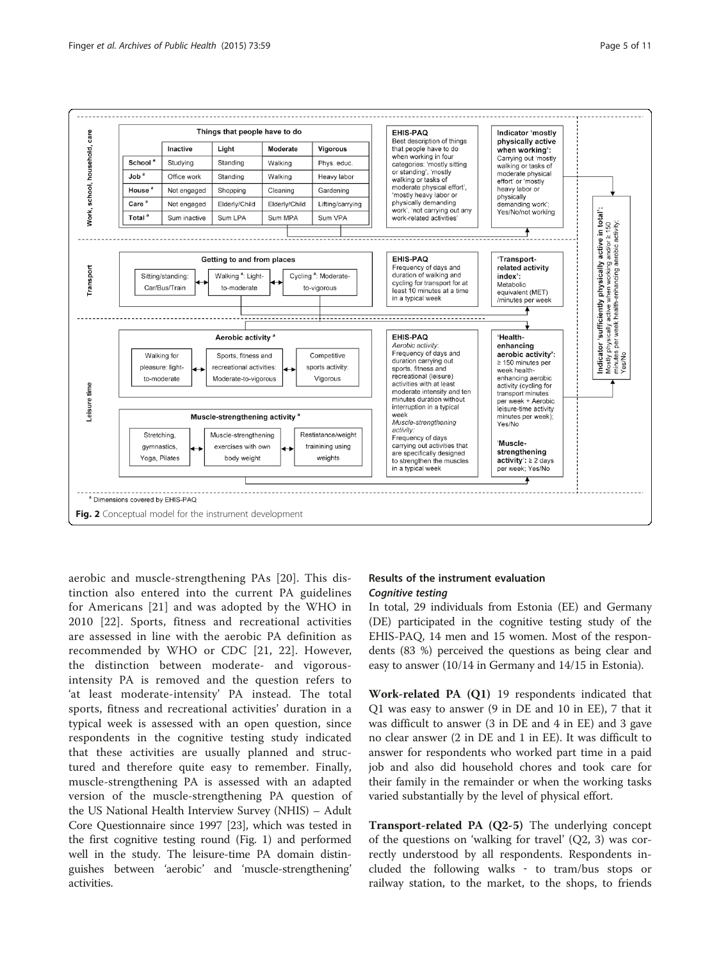<span id="page-4-0"></span>

aerobic and muscle-strengthening PAs [[20\]](#page-10-0). This distinction also entered into the current PA guidelines for Americans [[21\]](#page-10-0) and was adopted by the WHO in 2010 [\[22](#page-10-0)]. Sports, fitness and recreational activities are assessed in line with the aerobic PA definition as recommended by WHO or CDC [[21, 22](#page-10-0)]. However, the distinction between moderate- and vigorousintensity PA is removed and the question refers to 'at least moderate-intensity' PA instead. The total sports, fitness and recreational activities' duration in a typical week is assessed with an open question, since respondents in the cognitive testing study indicated that these activities are usually planned and structured and therefore quite easy to remember. Finally, muscle-strengthening PA is assessed with an adapted version of the muscle-strengthening PA question of the US National Health Interview Survey (NHIS) – Adult Core Questionnaire since 1997 [\[23](#page-10-0)], which was tested in the first cognitive testing round (Fig. [1](#page-1-0)) and performed well in the study. The leisure-time PA domain distinguishes between 'aerobic' and 'muscle-strengthening' activities.

## Results of the instrument evaluation Cognitive testing

In total, 29 individuals from Estonia (EE) and Germany (DE) participated in the cognitive testing study of the EHIS-PAQ, 14 men and 15 women. Most of the respondents (83 %) perceived the questions as being clear and easy to answer (10/14 in Germany and 14/15 in Estonia).

Work-related PA (Q1) 19 respondents indicated that Q1 was easy to answer (9 in DE and 10 in EE), 7 that it was difficult to answer (3 in DE and 4 in EE) and 3 gave no clear answer (2 in DE and 1 in EE). It was difficult to answer for respondents who worked part time in a paid job and also did household chores and took care for their family in the remainder or when the working tasks varied substantially by the level of physical effort.

Transport-related PA (Q2-5) The underlying concept of the questions on 'walking for travel' (Q2, 3) was correctly understood by all respondents. Respondents included the following walks ‐ to tram/bus stops or railway station, to the market, to the shops, to friends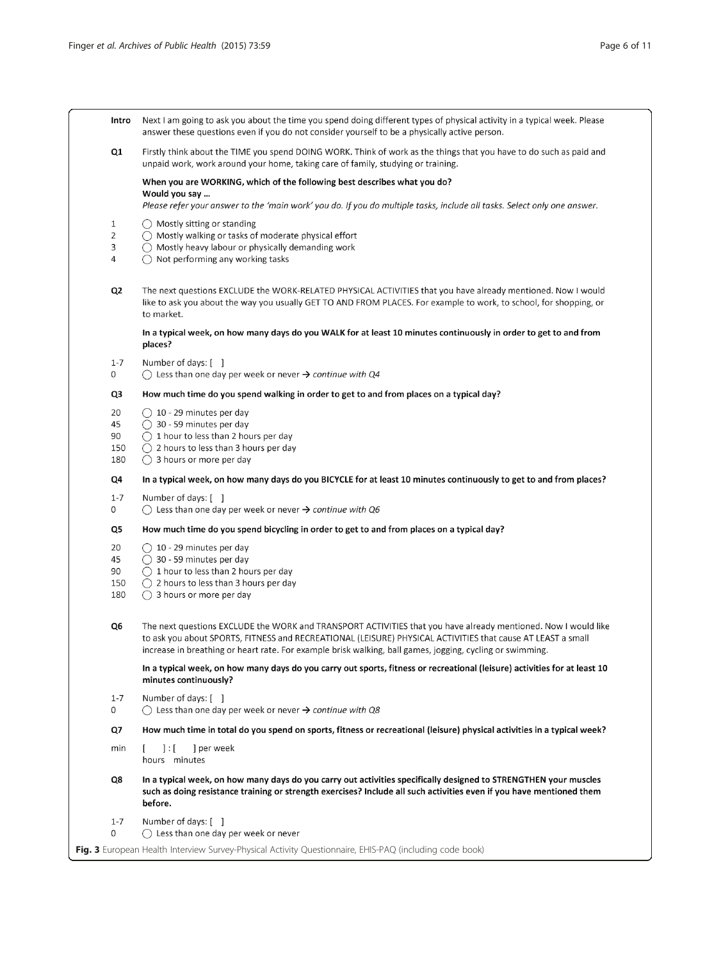<span id="page-5-0"></span>

| Intro                        | Next I am going to ask you about the time you spend doing different types of physical activity in a typical week. Please<br>answer these questions even if you do not consider yourself to be a physically active person.                                                                                                                  |  |  |  |  |  |
|------------------------------|--------------------------------------------------------------------------------------------------------------------------------------------------------------------------------------------------------------------------------------------------------------------------------------------------------------------------------------------|--|--|--|--|--|
| Q1                           | Firstly think about the TIME you spend DOING WORK. Think of work as the things that you have to do such as paid and<br>unpaid work, work around your home, taking care of family, studying or training.                                                                                                                                    |  |  |  |  |  |
|                              | When you are WORKING, which of the following best describes what you do?<br>Would you say<br>Please refer your answer to the 'main work' you do. If you do multiple tasks, include all tasks. Select only one answer.                                                                                                                      |  |  |  |  |  |
| $\mathbf{1}$<br>2<br>3<br>4  | () Mostly sitting or standing<br>$\bigcirc$ Mostly walking or tasks of moderate physical effort<br>$\bigcirc$ Mostly heavy labour or physically demanding work<br>$\bigcap$ Not performing any working tasks                                                                                                                               |  |  |  |  |  |
| Q <sub>2</sub>               | The next questions EXCLUDE the WORK-RELATED PHYSICAL ACTIVITIES that you have already mentioned. Now I would<br>like to ask you about the way you usually GET TO AND FROM PLACES. For example to work, to school, for shopping, or<br>to market.                                                                                           |  |  |  |  |  |
|                              | In a typical week, on how many days do you WALK for at least 10 minutes continuously in order to get to and from<br>places?                                                                                                                                                                                                                |  |  |  |  |  |
| $1 - 7$<br>0                 | Number of days: []<br>$\bigcirc$ Less than one day per week or never $\rightarrow$ continue with Q4                                                                                                                                                                                                                                        |  |  |  |  |  |
| Q3                           | How much time do you spend walking in order to get to and from places on a typical day?                                                                                                                                                                                                                                                    |  |  |  |  |  |
| 20<br>45<br>90<br>150<br>180 | $\bigcirc$ 10 - 29 minutes per day<br>$\bigcirc$ 30 - 59 minutes per day<br>$\bigcap$ 1 hour to less than 2 hours per day<br>$\bigcap$ 2 hours to less than 3 hours per day<br>$\bigcirc$ 3 hours or more per day                                                                                                                          |  |  |  |  |  |
| Q4                           | In a typical week, on how many days do you BICYCLE for at least 10 minutes continuously to get to and from places?                                                                                                                                                                                                                         |  |  |  |  |  |
| $1 - 7$<br>0                 | Number of days: []<br>$\bigcirc$ Less than one day per week or never $\rightarrow$ continue with Q6                                                                                                                                                                                                                                        |  |  |  |  |  |
| Q5                           | How much time do you spend bicycling in order to get to and from places on a typical day?                                                                                                                                                                                                                                                  |  |  |  |  |  |
| 20<br>45<br>90<br>150<br>180 | $\bigcirc$ 10 - 29 minutes per day<br>$\bigcirc$ 30 - 59 minutes per day<br>$\bigcirc$ 1 hour to less than 2 hours per day<br>$\bigcap$ 2 hours to less than 3 hours per day<br>$\bigcirc$ 3 hours or more per day                                                                                                                         |  |  |  |  |  |
| Q6                           | The next questions EXCLUDE the WORK and TRANSPORT ACTIVITIES that you have already mentioned. Now I would like<br>to ask you about SPORTS, FITNESS and RECREATIONAL (LEISURE) PHYSICAL ACTIVITIES that cause AT LEAST a small<br>increase in breathing or heart rate. For example brisk walking, ball games, jogging, cycling or swimming. |  |  |  |  |  |
|                              | In a typical week, on how many days do you carry out sports, fitness or recreational (leisure) activities for at least 10<br>minutes continuously?                                                                                                                                                                                         |  |  |  |  |  |
| $1 - 7$<br>0                 | Number of days: []<br>$\bigcirc$ Less than one day per week or never $\rightarrow$ continue with Q8                                                                                                                                                                                                                                        |  |  |  |  |  |
| Q7                           | How much time in total do you spend on sports, fitness or recreational (leisure) physical activities in a typical week?                                                                                                                                                                                                                    |  |  |  |  |  |
| min                          | $\exists$ :[<br>] per week<br>hours minutes                                                                                                                                                                                                                                                                                                |  |  |  |  |  |
| Q8                           | In a typical week, on how many days do you carry out activities specifically designed to STRENGTHEN your muscles<br>such as doing resistance training or strength exercises? Include all such activities even if you have mentioned them<br>before.                                                                                        |  |  |  |  |  |
| $1 - 7$<br>0                 | Number of days: [ ]<br>$\bigcirc$ Less than one day per week or never                                                                                                                                                                                                                                                                      |  |  |  |  |  |
|                              | Fig. 3 European Health Interview Survey-Physical Activity Questionnaire, EHIS-PAQ (including code book)                                                                                                                                                                                                                                    |  |  |  |  |  |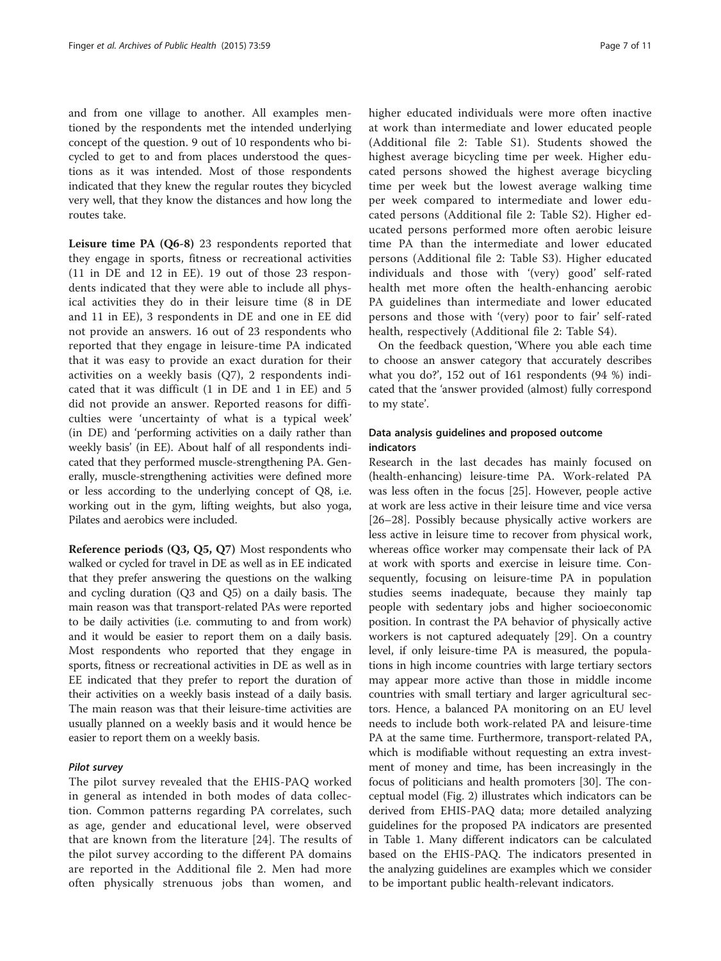and from one village to another. All examples mentioned by the respondents met the intended underlying concept of the question. 9 out of 10 respondents who bicycled to get to and from places understood the questions as it was intended. Most of those respondents indicated that they knew the regular routes they bicycled very well, that they know the distances and how long the routes take.

Leisure time PA (Q6-8) 23 respondents reported that they engage in sports, fitness or recreational activities (11 in DE and 12 in EE). 19 out of those 23 respondents indicated that they were able to include all physical activities they do in their leisure time (8 in DE and 11 in EE), 3 respondents in DE and one in EE did not provide an answers. 16 out of 23 respondents who reported that they engage in leisure-time PA indicated that it was easy to provide an exact duration for their activities on a weekly basis (Q7), 2 respondents indicated that it was difficult (1 in DE and 1 in EE) and 5 did not provide an answer. Reported reasons for difficulties were 'uncertainty of what is a typical week' (in DE) and 'performing activities on a daily rather than weekly basis' (in EE). About half of all respondents indicated that they performed muscle-strengthening PA. Generally, muscle-strengthening activities were defined more or less according to the underlying concept of Q8, i.e. working out in the gym, lifting weights, but also yoga, Pilates and aerobics were included.

Reference periods (Q3, Q5, Q7) Most respondents who walked or cycled for travel in DE as well as in EE indicated that they prefer answering the questions on the walking and cycling duration (Q3 and Q5) on a daily basis. The main reason was that transport-related PAs were reported to be daily activities (i.e. commuting to and from work) and it would be easier to report them on a daily basis. Most respondents who reported that they engage in sports, fitness or recreational activities in DE as well as in EE indicated that they prefer to report the duration of their activities on a weekly basis instead of a daily basis. The main reason was that their leisure-time activities are usually planned on a weekly basis and it would hence be easier to report them on a weekly basis.

#### Pilot survey

The pilot survey revealed that the EHIS-PAQ worked in general as intended in both modes of data collection. Common patterns regarding PA correlates, such as age, gender and educational level, were observed that are known from the literature [[24\]](#page-10-0). The results of the pilot survey according to the different PA domains are reported in the Additional file [2.](#page-9-0) Men had more often physically strenuous jobs than women, and higher educated individuals were more often inactive at work than intermediate and lower educated people (Additional file [2:](#page-9-0) Table S1). Students showed the highest average bicycling time per week. Higher educated persons showed the highest average bicycling time per week but the lowest average walking time per week compared to intermediate and lower educated persons (Additional file [2](#page-9-0): Table S2). Higher educated persons performed more often aerobic leisure time PA than the intermediate and lower educated persons (Additional file [2](#page-9-0): Table S3). Higher educated individuals and those with '(very) good' self-rated health met more often the health-enhancing aerobic PA guidelines than intermediate and lower educated persons and those with '(very) poor to fair' self-rated health, respectively (Additional file [2](#page-9-0): Table S4).

On the feedback question, 'Where you able each time to choose an answer category that accurately describes what you do?', 152 out of 161 respondents (94 %) indicated that the 'answer provided (almost) fully correspond to my state'.

## Data analysis guidelines and proposed outcome indicators

Research in the last decades has mainly focused on (health-enhancing) leisure-time PA. Work-related PA was less often in the focus [[25](#page-10-0)]. However, people active at work are less active in their leisure time and vice versa [[26](#page-10-0)–[28](#page-10-0)]. Possibly because physically active workers are less active in leisure time to recover from physical work, whereas office worker may compensate their lack of PA at work with sports and exercise in leisure time. Consequently, focusing on leisure-time PA in population studies seems inadequate, because they mainly tap people with sedentary jobs and higher socioeconomic position. In contrast the PA behavior of physically active workers is not captured adequately [\[29](#page-10-0)]. On a country level, if only leisure-time PA is measured, the populations in high income countries with large tertiary sectors may appear more active than those in middle income countries with small tertiary and larger agricultural sectors. Hence, a balanced PA monitoring on an EU level needs to include both work-related PA and leisure-time PA at the same time. Furthermore, transport-related PA, which is modifiable without requesting an extra investment of money and time, has been increasingly in the focus of politicians and health promoters [[30\]](#page-10-0). The conceptual model (Fig. [2\)](#page-4-0) illustrates which indicators can be derived from EHIS-PAQ data; more detailed analyzing guidelines for the proposed PA indicators are presented in Table [1](#page-7-0). Many different indicators can be calculated based on the EHIS-PAQ. The indicators presented in the analyzing guidelines are examples which we consider to be important public health-relevant indicators.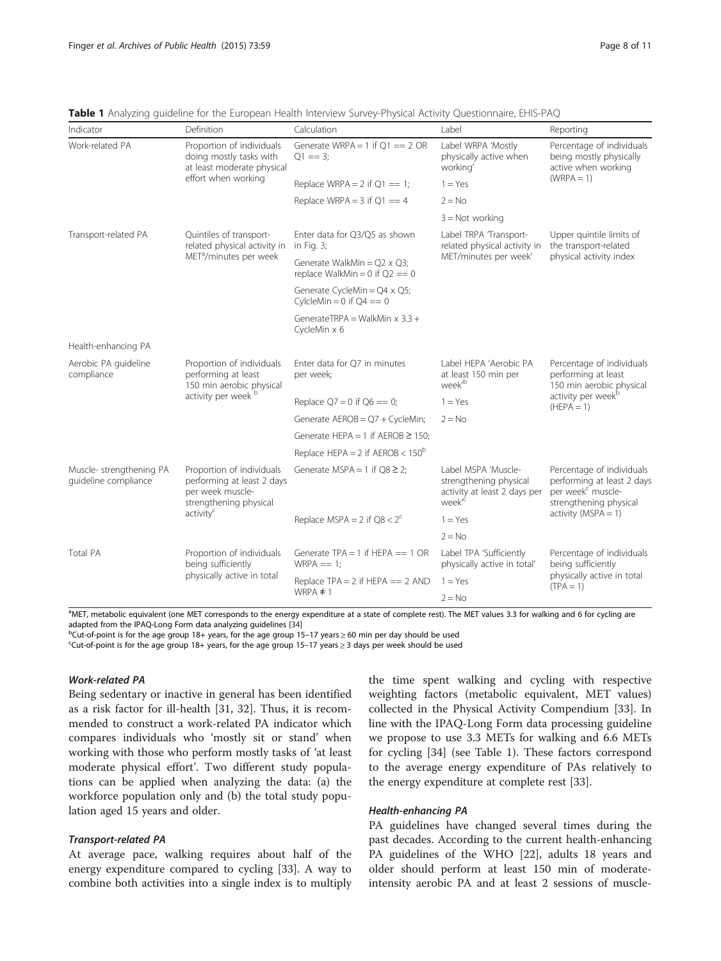| Indicator                                        | Definition                                                                                            | Calculation                                                               | Label                                                                                               | Reporting                                                                                                                      |  |
|--------------------------------------------------|-------------------------------------------------------------------------------------------------------|---------------------------------------------------------------------------|-----------------------------------------------------------------------------------------------------|--------------------------------------------------------------------------------------------------------------------------------|--|
| Work-related PA                                  | Proportion of individuals<br>doing mostly tasks with<br>at least moderate physical                    | Generate WRPA = 1 if $Q1 == 2$ OR<br>$Q1 == 3$ ;                          | Label WRPA 'Mostly<br>physically active when<br>working'                                            | Percentage of individuals<br>being mostly physically<br>active when working<br>$(WRPA = 1)$                                    |  |
|                                                  | effort when working                                                                                   | Replace WRPA = $2$ if $Q1 == 1$ ;                                         | $1 = Yes$                                                                                           |                                                                                                                                |  |
|                                                  |                                                                                                       | Replace WRPA = $3$ if $Q1 == 4$                                           | $2 = No$                                                                                            |                                                                                                                                |  |
|                                                  |                                                                                                       |                                                                           | $3 = Not working$                                                                                   |                                                                                                                                |  |
| Transport-related PA                             | Quintiles of transport-<br>related physical activity in                                               | Enter data for Q3/Q5 as shown<br>in Fig. 3;                               | Label TRPA Transport-<br>related physical activity in                                               | Upper quintile limits of<br>the transport-related<br>physical activity index                                                   |  |
|                                                  | MET <sup>a</sup> /minutes per week                                                                    | Generate WalkMin = $Q2 \times Q3$ ;<br>replace WalkMin = $0$ if $Q2 == 0$ | MET/minutes per week'                                                                               |                                                                                                                                |  |
|                                                  |                                                                                                       | Generate CycleMin = Q4 x Q5;<br>CylcleMin = $0$ if $Q4 == 0$              |                                                                                                     |                                                                                                                                |  |
|                                                  |                                                                                                       | GenerateTRPA = WalkMin $x$ 3.3 +<br>CycleMin x 6                          |                                                                                                     |                                                                                                                                |  |
| Health-enhancing PA                              |                                                                                                       |                                                                           |                                                                                                     |                                                                                                                                |  |
| Aerobic PA guideline<br>compliance               | Proportion of individuals<br>performing at least<br>150 min aerobic physical                          | Enter data for Q7 in minutes<br>per week;                                 | Label HEPA 'Aerobic PA<br>at least 150 min per<br>week <sup>b</sup>                                 | Percentage of individuals<br>performing at least<br>150 min aerobic physical<br>activity per week <sup>b</sup><br>$(HEPA = 1)$ |  |
|                                                  | activity per week <sup>t</sup>                                                                        | Replace $Q7 = 0$ if $Q6 == 0$ ;                                           | $1 = Yes$                                                                                           |                                                                                                                                |  |
|                                                  |                                                                                                       | Generate $AEROB = Q7 + CycleMin;$                                         | $2 = No$                                                                                            |                                                                                                                                |  |
|                                                  |                                                                                                       | Generate HEPA = 1 if AEROB $\geq$ 150:                                    |                                                                                                     |                                                                                                                                |  |
|                                                  |                                                                                                       | Replace HEPA = $2$ if AEROB < $150^{\circ}$                               |                                                                                                     |                                                                                                                                |  |
| Muscle- strengthening PA<br>quideline compliance | Proportion of individuals<br>performing at least 2 days<br>per week muscle-<br>strengthening physical | Generate MSPA = 1 if $Q8 \geq 2$ ;                                        | Label MSPA 'Muscle-<br>strengthening physical<br>activity at least 2 days per<br>week <sup>'c</sup> | Percentage of individuals<br>performing at least 2 days<br>per week <sup>c</sup> muscle-<br>strengthening physical             |  |
|                                                  | activity <sup>c</sup>                                                                                 | Replace MSPA = 2 if $QS < 2c$                                             | $1 = Yes$                                                                                           | $activity (MSPA = 1)$                                                                                                          |  |
|                                                  |                                                                                                       |                                                                           | $2 = No$                                                                                            |                                                                                                                                |  |
| <b>Total PA</b>                                  | Proportion of individuals<br>being sufficiently                                                       | Generate $TPA = 1$ if HEPA = $= 1$ OR<br>$WRPA == 1$ :                    | Label TPA 'Sufficiently<br>physically active in total'                                              | Percentage of individuals<br>being sufficiently<br>physically active in total<br>$(TPA = 1)$                                   |  |
|                                                  | physically active in total                                                                            | Replace TPA = $2$ if HEPA = $= 2$ AND                                     | $1 = Yes$                                                                                           |                                                                                                                                |  |
|                                                  |                                                                                                       | WRPA $\neq$ 1                                                             | $2 = No$                                                                                            |                                                                                                                                |  |

<span id="page-7-0"></span>

|  |  |  |  |  |  | Table 1 Analyzing guideline for the European Health Interview Survey-Physical Activity Questionnaire, EHIS-PAC |  |  |  |  |
|--|--|--|--|--|--|----------------------------------------------------------------------------------------------------------------|--|--|--|--|
|--|--|--|--|--|--|----------------------------------------------------------------------------------------------------------------|--|--|--|--|

<sup>a</sup>MET, metabolic equivalent (one MET corresponds to the energy expenditure at a state of complete rest). The MET values 3.3 for walking and 6 for cycling are adapted from the IPAQ-Long Form data analyzing guidelines [[34\]](#page-10-0)

<sup>b</sup>Cut-of-point is for the age group 18+ years, for the age group 15–17 years ≥ 60 min per day should be used

Cut-of-point is for the age group 18+ years, for the age group 15–17 years ≥ 3 days per week should be used

## Work-related PA

Being sedentary or inactive in general has been identified as a risk factor for ill-health [[31, 32](#page-10-0)]. Thus, it is recommended to construct a work-related PA indicator which compares individuals who 'mostly sit or stand' when working with those who perform mostly tasks of 'at least moderate physical effort'. Two different study populations can be applied when analyzing the data: (a) the workforce population only and (b) the total study population aged 15 years and older.

## Transport-related PA

At average pace, walking requires about half of the energy expenditure compared to cycling [[33](#page-10-0)]. A way to combine both activities into a single index is to multiply

the time spent walking and cycling with respective weighting factors (metabolic equivalent, MET values) collected in the Physical Activity Compendium [[33](#page-10-0)]. In line with the IPAQ-Long Form data processing guideline we propose to use 3.3 METs for walking and 6.6 METs for cycling [\[34\]](#page-10-0) (see Table 1). These factors correspond to the average energy expenditure of PAs relatively to the energy expenditure at complete rest [\[33\]](#page-10-0).

## Health-enhancing PA

PA guidelines have changed several times during the past decades. According to the current health-enhancing PA guidelines of the WHO [[22](#page-10-0)], adults 18 years and older should perform at least 150 min of moderateintensity aerobic PA and at least 2 sessions of muscle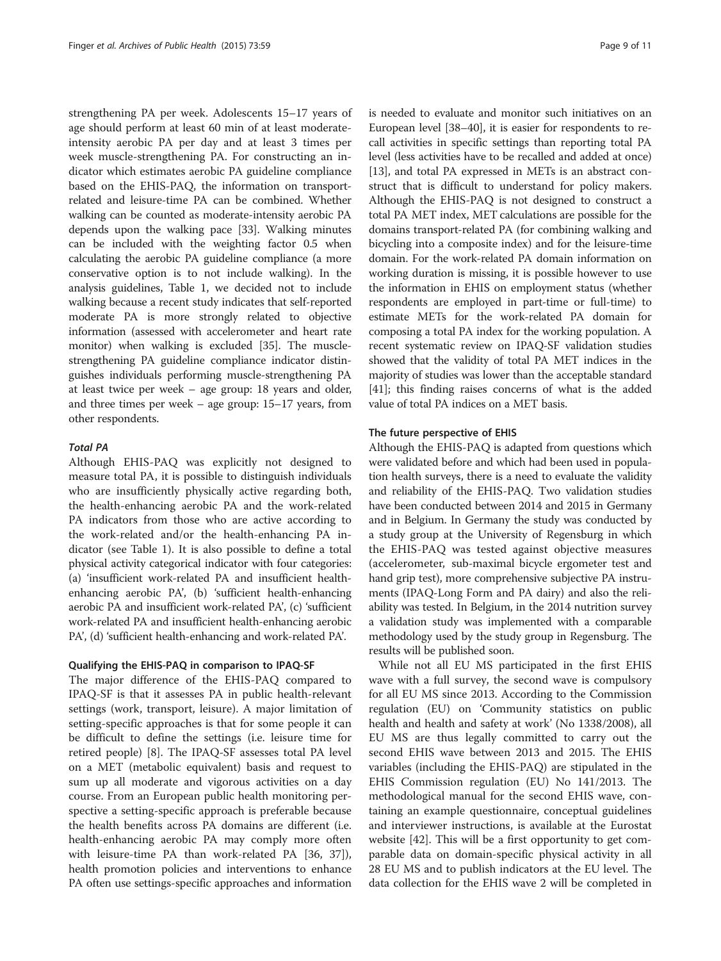strengthening PA per week. Adolescents 15–17 years of age should perform at least 60 min of at least moderateintensity aerobic PA per day and at least 3 times per week muscle-strengthening PA. For constructing an indicator which estimates aerobic PA guideline compliance based on the EHIS-PAQ, the information on transportrelated and leisure-time PA can be combined. Whether walking can be counted as moderate-intensity aerobic PA depends upon the walking pace [[33](#page-10-0)]. Walking minutes can be included with the weighting factor 0.5 when calculating the aerobic PA guideline compliance (a more conservative option is to not include walking). In the analysis guidelines, Table [1,](#page-7-0) we decided not to include walking because a recent study indicates that self-reported moderate PA is more strongly related to objective information (assessed with accelerometer and heart rate monitor) when walking is excluded [\[35\]](#page-10-0). The musclestrengthening PA guideline compliance indicator distinguishes individuals performing muscle-strengthening PA at least twice per week – age group: 18 years and older, and three times per week – age group: 15–17 years, from other respondents.

#### Total PA

Although EHIS-PAQ was explicitly not designed to measure total PA, it is possible to distinguish individuals who are insufficiently physically active regarding both, the health-enhancing aerobic PA and the work-related PA indicators from those who are active according to the work-related and/or the health-enhancing PA indicator (see Table [1\)](#page-7-0). It is also possible to define a total physical activity categorical indicator with four categories: (a) 'insufficient work-related PA and insufficient healthenhancing aerobic PA', (b) 'sufficient health-enhancing aerobic PA and insufficient work-related PA', (c) 'sufficient work-related PA and insufficient health-enhancing aerobic PA', (d) 'sufficient health-enhancing and work-related PA'.

## Qualifying the EHIS-PAQ in comparison to IPAQ-SF

The major difference of the EHIS-PAQ compared to IPAQ-SF is that it assesses PA in public health-relevant settings (work, transport, leisure). A major limitation of setting-specific approaches is that for some people it can be difficult to define the settings (i.e. leisure time for retired people) [\[8](#page-9-0)]. The IPAQ-SF assesses total PA level on a MET (metabolic equivalent) basis and request to sum up all moderate and vigorous activities on a day course. From an European public health monitoring perspective a setting-specific approach is preferable because the health benefits across PA domains are different (i.e. health-enhancing aerobic PA may comply more often with leisure-time PA than work-related PA [[36](#page-10-0), [37](#page-10-0)]), health promotion policies and interventions to enhance PA often use settings-specific approaches and information is needed to evaluate and monitor such initiatives on an European level [[38](#page-10-0)–[40\]](#page-10-0), it is easier for respondents to recall activities in specific settings than reporting total PA level (less activities have to be recalled and added at once) [[13](#page-9-0)], and total PA expressed in METs is an abstract construct that is difficult to understand for policy makers. Although the EHIS-PAQ is not designed to construct a total PA MET index, MET calculations are possible for the domains transport-related PA (for combining walking and bicycling into a composite index) and for the leisure-time domain. For the work-related PA domain information on working duration is missing, it is possible however to use the information in EHIS on employment status (whether respondents are employed in part-time or full-time) to estimate METs for the work-related PA domain for composing a total PA index for the working population. A recent systematic review on IPAQ-SF validation studies showed that the validity of total PA MET indices in the majority of studies was lower than the acceptable standard [[41](#page-10-0)]; this finding raises concerns of what is the added value of total PA indices on a MET basis.

### The future perspective of EHIS

Although the EHIS-PAQ is adapted from questions which were validated before and which had been used in population health surveys, there is a need to evaluate the validity and reliability of the EHIS-PAQ. Two validation studies have been conducted between 2014 and 2015 in Germany and in Belgium. In Germany the study was conducted by a study group at the University of Regensburg in which the EHIS-PAQ was tested against objective measures (accelerometer, sub-maximal bicycle ergometer test and hand grip test), more comprehensive subjective PA instruments (IPAQ-Long Form and PA dairy) and also the reliability was tested. In Belgium, in the 2014 nutrition survey a validation study was implemented with a comparable methodology used by the study group in Regensburg. The results will be published soon.

While not all EU MS participated in the first EHIS wave with a full survey, the second wave is compulsory for all EU MS since 2013. According to the Commission regulation (EU) on 'Community statistics on public health and health and safety at work' (No 1338/2008), all EU MS are thus legally committed to carry out the second EHIS wave between 2013 and 2015. The EHIS variables (including the EHIS-PAQ) are stipulated in the EHIS Commission regulation (EU) No 141/2013. The methodological manual for the second EHIS wave, containing an example questionnaire, conceptual guidelines and interviewer instructions, is available at the Eurostat website [\[42](#page-10-0)]. This will be a first opportunity to get comparable data on domain-specific physical activity in all 28 EU MS and to publish indicators at the EU level. The data collection for the EHIS wave 2 will be completed in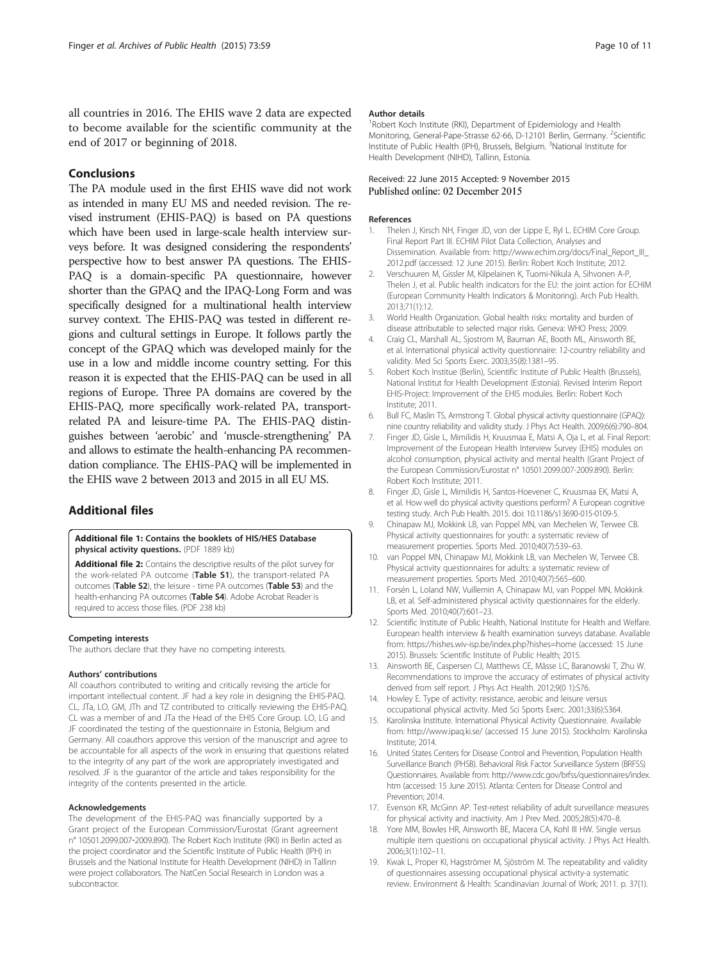<span id="page-9-0"></span>all countries in 2016. The EHIS wave 2 data are expected to become available for the scientific community at the end of 2017 or beginning of 2018.

## Conclusions

The PA module used in the first EHIS wave did not work as intended in many EU MS and needed revision. The revised instrument (EHIS-PAQ) is based on PA questions which have been used in large-scale health interview surveys before. It was designed considering the respondents' perspective how to best answer PA questions. The EHIS-PAQ is a domain-specific PA questionnaire, however shorter than the GPAQ and the IPAQ-Long Form and was specifically designed for a multinational health interview survey context. The EHIS-PAQ was tested in different regions and cultural settings in Europe. It follows partly the concept of the GPAQ which was developed mainly for the use in a low and middle income country setting. For this reason it is expected that the EHIS-PAQ can be used in all regions of Europe. Three PA domains are covered by the EHIS-PAQ, more specifically work-related PA, transportrelated PA and leisure-time PA. The EHIS-PAQ distinguishes between 'aerobic' and 'muscle-strengthening' PA and allows to estimate the health-enhancing PA recommendation compliance. The EHIS-PAQ will be implemented in the EHIS wave 2 between 2013 and 2015 in all EU MS.

## Additional files

[Additional file 1:](dx.doi.org/10.1186/s13690-015-0110-z) Contains the booklets of HIS/HES Database physical activity questions. (PDF 1889 kb)

[Additional file 2:](dx.doi.org/10.1186/s13690-015-0110-z) Contains the descriptive results of the pilot survey for the work-related PA outcome (Table S1), the transport-related PA outcomes (Table S2), the leisure - time PA outcomes (Table S3) and the health-enhancing PA outcomes (Table S4). Adobe Acrobat Reader is required to access those files. (PDF 238 kb)

#### Competing interests

The authors declare that they have no competing interests.

#### Authors' contributions

All coauthors contributed to writing and critically revising the article for important intellectual content. JF had a key role in designing the EHIS-PAQ. CL, JTa, LO, GM, JTh and TZ contributed to critically reviewing the EHIS-PAQ. CL was a member of and JTa the Head of the EHIS Core Group. LO, LG and JF coordinated the testing of the questionnaire in Estonia, Belgium and Germany. All coauthors approve this version of the manuscript and agree to be accountable for all aspects of the work in ensuring that questions related to the integrity of any part of the work are appropriately investigated and resolved. JF is the guarantor of the article and takes responsibility for the integrity of the contents presented in the article.

#### Acknowledgements

The development of the EHIS-PAQ was financially supported by a Grant project of the European Commission/Eurostat (Grant agreement n° 10501.2099.007‐2009.890). The Robert Koch Institute (RKI) in Berlin acted as the project coordinator and the Scientific Institute of Public Health (IPH) in Brussels and the National Institute for Health Development (NIHD) in Tallinn were project collaborators. The NatCen Social Research in London was a subcontractor.

#### Author details

<sup>1</sup> Robert Koch Institute (RKI), Department of Epidemiology and Health Monitoring, General-Pape-Strasse 62-66, D-12101 Berlin, Germany. <sup>2</sup>Scientific Institute of Public Health (IPH), Brussels, Belgium. <sup>3</sup>National Institute for Health Development (NIHD), Tallinn, Estonia.

## Received: 22 June 2015 Accepted: 9 November 2015 Published online: 02 December 2015

## References

- 1. Thelen J, Kirsch NH, Finger JD, von der Lippe E, Ryl L. ECHIM Core Group. Final Report Part III. ECHIM Pilot Data Collection, Analyses and Dissemination. Available from: [http://www.echim.org/docs/Final\\_Report\\_III\\_](http://www.echim.org/docs/Final_Report_III_2012.pdf) [2012.pdf](http://www.echim.org/docs/Final_Report_III_2012.pdf) (accessed: 12 June 2015). Berlin: Robert Koch Institute; 2012.
- 2. Verschuuren M, Gissler M, Kilpelainen K, Tuomi-Nikula A, Sihvonen A-P, Thelen J, et al. Public health indicators for the EU: the joint action for ECHIM (European Community Health Indicators & Monitoring). Arch Pub Health. 2013;71(1):12.
- 3. World Health Organization. Global health risks: mortality and burden of disease attributable to selected major risks. Geneva: WHO Press; 2009.
- Craig CL, Marshall AL, Sjostrom M, Bauman AE, Booth ML, Ainsworth BE, et al. International physical activity questionnaire: 12-country reliability and validity. Med Sci Sports Exerc. 2003;35(8):1381–95.
- 5. Robert Koch Institue (Berlin), Scientific Institute of Public Health (Brussels), National Institut for Health Development (Estonia). Revised Interim Report EHIS-Project: Improvement of the EHIS modules. Berlin: Robert Koch Institute; 2011.
- 6. Bull FC, Maslin TS, Armstrong T. Global physical activity questionnaire (GPAQ): nine country reliability and validity study. J Phys Act Health. 2009;6(6):790–804.
- 7. Finger JD, Gisle L, Mimilidis H, Kruusmaa E, Matsi A, Oja L, et al. Final Report: Improvement of the European Health Interview Survey (EHIS) modules on alcohol consumption, physical activity and mental health (Grant Project of the European Commission/Eurostat n° 10501.2099.007-2009.890). Berlin: Robert Koch Institute; 2011.
- 8. Finger JD, Gisle L, Mimilidis H, Santos-Hoevener C, Kruusmaa EK, Matsi A, et al. How well do physical activity questions perform? A European cognitive testing study. Arch Pub Health. 2015. doi: [10.1186/s13690-015-0109-5](http://dx.doi.org/10.1186/s13690-015-0109-5).
- 9. Chinapaw MJ, Mokkink LB, van Poppel MN, van Mechelen W, Terwee CB. Physical activity questionnaires for youth: a systematic review of measurement properties. Sports Med. 2010;40(7):539–63.
- 10. van Poppel MN, Chinapaw MJ, Mokkink LB, van Mechelen W, Terwee CB. Physical activity questionnaires for adults: a systematic review of measurement properties. Sports Med. 2010;40(7):565–600.
- 11. Forsén L, Loland NW, Vuillemin A, Chinapaw MJ, van Poppel MN, Mokkink LB, et al. Self-administered physical activity questionnaires for the elderly. Sports Med. 2010;40(7):601–23.
- 12. Scientific Institute of Public Health, National Institute for Health and Welfare. European health interview & health examination surveys database. Available from:<https://hishes.wiv-isp.be/index.php?hishes=home> (accessed: 15 June 2015). Brussels: Scientific Institute of Public Health; 2015.
- 13. Ainsworth BE, Caspersen CJ, Matthews CE, Mâsse LC, Baranowski T, Zhu W. Recommendations to improve the accuracy of estimates of physical activity derived from self report. J Phys Act Health. 2012;9(0 1):S76.
- 14. Howley E. Type of activity: resistance, aerobic and leisure versus occupational physical activity. Med Sci Sports Exerc. 2001;33(6):S364.
- 15. Karolinska Institute. International Physical Activity Questionnaire. Available from:<http://www.ipaq.ki.se/> (accessed 15 June 2015). Stockholm: Karolinska Institute; 2014.
- 16. United States Centers for Disease Control and Prevention, Population Health Surveillance Branch (PHSB). Behavioral Risk Factor Surveillance System (BRFSS) Questionnaires. Available from: [http://www.cdc.gov/brfss/questionnaires/index.](http://www.cdc.gov/brfss/questionnaires/index.htm) [htm](http://www.cdc.gov/brfss/questionnaires/index.htm) (accessed: 15 June 2015). Atlanta: Centers for Disease Control and Prevention; 2014.
- 17. Evenson KR, McGinn AP. Test-retest reliability of adult surveillance measures for physical activity and inactivity. Am J Prev Med. 2005;28(5):470–8.
- 18. Yore MM, Bowles HR, Ainsworth BE, Macera CA, Kohl III HW. Single versus multiple item questions on occupational physical activity. J Phys Act Health. 2006;3(1):102–11.
- 19. Kwak L, Proper KI, Hagströmer M, Sjöström M. The repeatability and validity of questionnaires assessing occupational physical activity-a systematic review. Environment & Health: Scandinavian Journal of Work; 2011. p. 37(1).